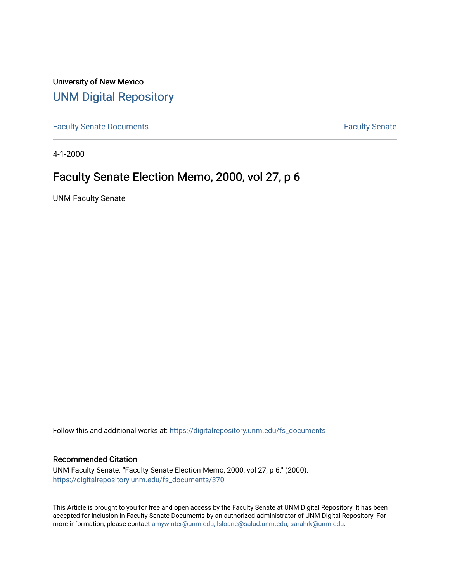University of New Mexico [UNM Digital Repository](https://digitalrepository.unm.edu/) 

[Faculty Senate Documents](https://digitalrepository.unm.edu/fs_documents) **Faculty** Senate **Faculty** Senate

4-1-2000

## Faculty Senate Election Memo, 2000, vol 27, p 6

UNM Faculty Senate

Follow this and additional works at: [https://digitalrepository.unm.edu/fs\\_documents](https://digitalrepository.unm.edu/fs_documents?utm_source=digitalrepository.unm.edu%2Ffs_documents%2F370&utm_medium=PDF&utm_campaign=PDFCoverPages)

## Recommended Citation

UNM Faculty Senate. "Faculty Senate Election Memo, 2000, vol 27, p 6." (2000). [https://digitalrepository.unm.edu/fs\\_documents/370](https://digitalrepository.unm.edu/fs_documents/370?utm_source=digitalrepository.unm.edu%2Ffs_documents%2F370&utm_medium=PDF&utm_campaign=PDFCoverPages)

This Article is brought to you for free and open access by the Faculty Senate at UNM Digital Repository. It has been accepted for inclusion in Faculty Senate Documents by an authorized administrator of UNM Digital Repository. For more information, please contact [amywinter@unm.edu, lsloane@salud.unm.edu, sarahrk@unm.edu](mailto:amywinter@unm.edu,%20lsloane@salud.unm.edu,%20sarahrk@unm.edu).